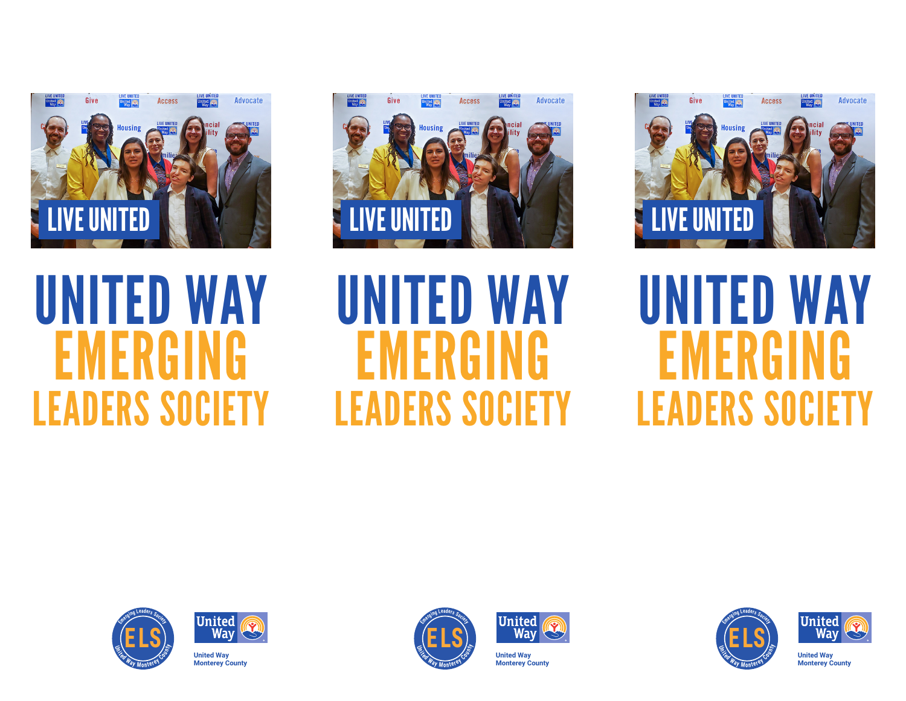

# UNITED WAY EMERGING LEADERS SOCIETY





**United Way Monterey County**